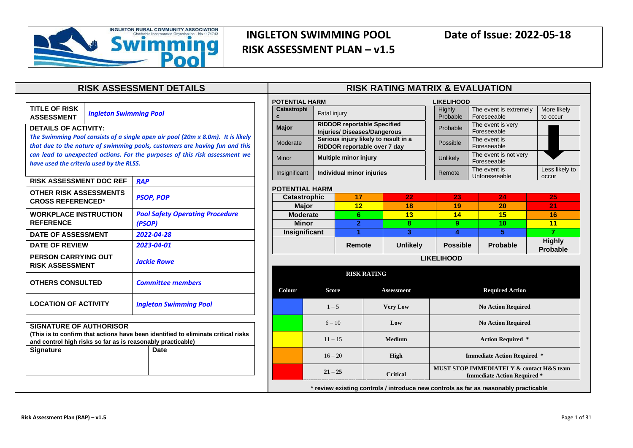

**TITLE OF RISK ASSESSMENT** *Ingleton Swimming Pool*

#### **DETAILS OF ACTIVITY:**

*The Swimming Pool consists of a single open air pool (20m x 8.0m). It is likely that due to the nature of swimming pools, customers are having fun and this can lead to unexpected actions. For the purposes of this risk assessment we have used the criteria used by the RLSS.*

| <b>RISK ASSESSMENT DOC REF</b>                              | <b>RAP</b>                                                                        |
|-------------------------------------------------------------|-----------------------------------------------------------------------------------|
| <b>OTHER RISK ASSESSMENTS</b><br><b>CROSS REFERENCED*</b>   | <b>PSOP, POP</b>                                                                  |
| <b>WORKPLACE INSTRUCTION</b><br><b>REFERENCE</b>            | <b>Pool Safety Operating Procedure</b><br>(PSOP)                                  |
| <b>DATE OF ASSESSMENT</b>                                   | 2022-04-28                                                                        |
| <b>DATE OF REVIEW</b>                                       | 2023-04-01                                                                        |
| <b>PERSON CARRYING OUT</b><br><b>RISK ASSESSMENT</b>        | Jackie Rowe                                                                       |
| <b>OTHERS CONSULTED</b>                                     | <b>Committee members</b>                                                          |
| <b>LOCATION OF ACTIVITY</b>                                 | <b>Ingleton Swimming Pool</b>                                                     |
|                                                             |                                                                                   |
| <b>SIGNATURE OF AUTHORISOR</b>                              |                                                                                   |
|                                                             | (This is to confirm that actions have been identified to eliminate critical risks |
| and control high risks so far as is reasonably practicable) |                                                                                   |
| <b>Signature</b>                                            | Date                                                                              |
|                                                             |                                                                                   |
|                                                             |                                                                                   |
|                                                             |                                                                                   |
|                                                             |                                                                                   |

#### **RISK ASSESSMENT DETAILS RISK RATING MATRIX & EVALUATION**

| <b>POTENTIAL HARM</b> |                                                                      |                                                                          |                                    | <b>LIKELIHOOD</b>                                                              |                           |                                                                                      |                                  |  |
|-----------------------|----------------------------------------------------------------------|--------------------------------------------------------------------------|------------------------------------|--------------------------------------------------------------------------------|---------------------------|--------------------------------------------------------------------------------------|----------------------------------|--|
| Catastrophi<br>C      | Fatal injury                                                         |                                                                          |                                    | Highly<br>Probable                                                             |                           | The event is extremely<br>Foreseeable                                                | More likely<br>to occur          |  |
| <b>Major</b>          |                                                                      | <b>RIDDOR reportable Specified</b><br><b>Injuries/Diseases/Dangerous</b> |                                    | Probable                                                                       |                           | The event is very<br>Foreseeable                                                     |                                  |  |
| Moderate              | Serious injury likely to result in a<br>RIDDOR reportable over 7 day |                                                                          |                                    | Possible                                                                       |                           | The event is<br>Foreseeable                                                          |                                  |  |
| Minor                 | <b>Multiple minor injury</b>                                         |                                                                          |                                    | <b>Unlikely</b>                                                                |                           | The event is not very<br>Foreseeable                                                 |                                  |  |
| Insignificant         | Individual minor injuries                                            |                                                                          |                                    | Remote                                                                         |                           | The event is<br>Unforeseeable                                                        | Less likely to<br>occur          |  |
| <b>POTENTIAL HARM</b> |                                                                      |                                                                          |                                    |                                                                                |                           |                                                                                      |                                  |  |
| <b>Catastrophic</b>   |                                                                      | 17                                                                       | 22                                 | 23                                                                             |                           | 24                                                                                   | 25                               |  |
| <b>Major</b>          |                                                                      | 12                                                                       | 18                                 | 19                                                                             |                           | 20                                                                                   | 21                               |  |
| <b>Moderate</b>       |                                                                      | 6                                                                        | 13                                 | 14                                                                             |                           | 15                                                                                   | 16                               |  |
| <b>Minor</b>          | $\overline{2}$<br>8                                                  |                                                                          | 9                                  |                                                                                | 10                        | 11                                                                                   |                                  |  |
| Insignificant         | 1<br>3                                                               |                                                                          | 4                                  |                                                                                | 5                         | $\overline{7}$                                                                       |                                  |  |
|                       | <b>Unlikely</b><br>Remote                                            |                                                                          |                                    | <b>Possible</b>                                                                |                           | <b>Probable</b>                                                                      | <b>Highly</b><br><b>Probable</b> |  |
|                       |                                                                      |                                                                          |                                    | <b>LIKELIHOOD</b>                                                              |                           |                                                                                      |                                  |  |
|                       |                                                                      | <b>RISK RATING</b>                                                       |                                    |                                                                                |                           |                                                                                      |                                  |  |
| Colour                | <b>Score</b>                                                         |                                                                          | <b>Assessment</b>                  |                                                                                |                           | <b>Required Action</b>                                                               |                                  |  |
|                       | $1 - 5$                                                              |                                                                          | <b>Very Low</b>                    | <b>No Action Required</b>                                                      |                           |                                                                                      |                                  |  |
|                       | $6 - 10$                                                             |                                                                          | Low                                |                                                                                | <b>No Action Required</b> |                                                                                      |                                  |  |
|                       | $11 - 15$                                                            |                                                                          | <b>Medium</b>                      | <b>Action Required *</b>                                                       |                           |                                                                                      |                                  |  |
|                       | $16 - 20$<br><b>High</b>                                             |                                                                          | <b>Immediate Action Required *</b> |                                                                                |                           |                                                                                      |                                  |  |
|                       | $21 - 25$                                                            |                                                                          | <b>Critical</b>                    | MUST STOP IMMEDIATELY & contact H&S team<br><b>Immediate Action Required *</b> |                           |                                                                                      |                                  |  |
|                       |                                                                      |                                                                          |                                    |                                                                                |                           | * review existing controls / introduce new controls as far as reasonably practicable |                                  |  |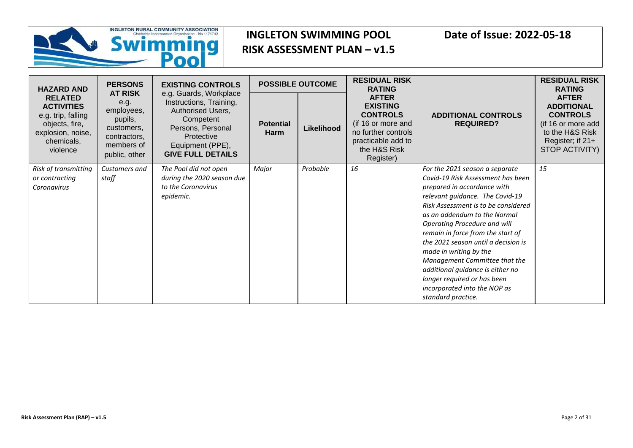

| <b>HAZARD AND</b>                                                                                                          | <b>PERSONS</b>                                                                                               | <b>EXISTING CONTROLS</b>                                                                                                                                               |                          | <b>POSSIBLE OUTCOME</b> | <b>RESIDUAL RISK</b><br><b>RATING</b>                                                                                                              |                                                                                                                                                                                                                                                                                                                                                                                                                                                                                                              | <b>RESIDUAL RISK</b><br><b>RATING</b>                                                                                               |
|----------------------------------------------------------------------------------------------------------------------------|--------------------------------------------------------------------------------------------------------------|------------------------------------------------------------------------------------------------------------------------------------------------------------------------|--------------------------|-------------------------|----------------------------------------------------------------------------------------------------------------------------------------------------|--------------------------------------------------------------------------------------------------------------------------------------------------------------------------------------------------------------------------------------------------------------------------------------------------------------------------------------------------------------------------------------------------------------------------------------------------------------------------------------------------------------|-------------------------------------------------------------------------------------------------------------------------------------|
| <b>RELATED</b><br><b>ACTIVITIES</b><br>e.g. trip, falling<br>objects, fire,<br>explosion, noise,<br>chemicals,<br>violence | <b>AT RISK</b><br>e.g.<br>employees,<br>pupils,<br>customers,<br>contractors,<br>members of<br>public, other | e.g. Guards, Workplace<br>Instructions, Training,<br>Authorised Users,<br>Competent<br>Persons, Personal<br>Protective<br>Equipment (PPE),<br><b>GIVE FULL DETAILS</b> | <b>Potential</b><br>Harm | Likelihood              | <b>AFTER</b><br><b>EXISTING</b><br><b>CONTROLS</b><br>(if 16 or more and<br>no further controls<br>practicable add to<br>the H&S Risk<br>Register) | <b>ADDITIONAL CONTROLS</b><br><b>REQUIRED?</b>                                                                                                                                                                                                                                                                                                                                                                                                                                                               | <b>AFTER</b><br><b>ADDITIONAL</b><br><b>CONTROLS</b><br>(if 16 or more add<br>to the H&S Risk<br>Register; if 21+<br>STOP ACTIVITY) |
| Risk of transmitting<br>or contracting<br>Coronavirus                                                                      | Customers and<br>staff                                                                                       | The Pool did not open<br>during the 2020 season due<br>to the Coronavirus<br>epidemic.                                                                                 | Major                    | Probable                | 16                                                                                                                                                 | For the 2021 season a separate<br>Covid-19 Risk Assessment has been<br>prepared in accordance with<br>relevant guidance. The Covid-19<br>Risk Assessment is to be considered<br>as an addendum to the Normal<br>Operating Procedure and will<br>remain in force from the start of<br>the 2021 season until a decision is<br>made in writing by the<br>Management Committee that the<br>additional guidance is either no<br>longer required or has been<br>incorporated into the NOP as<br>standard practice. | 15                                                                                                                                  |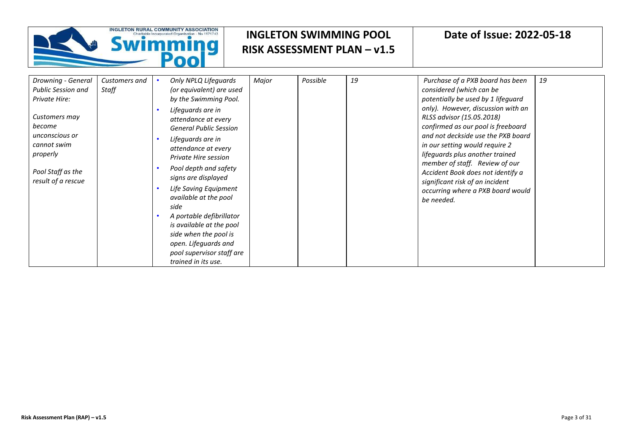

| Drowning - General                        | Customers and | Only NPLQ Lifeguards                                             | Major | Possible | 19 | Purchase of a PXB board has been                                                                        | 19 |
|-------------------------------------------|---------------|------------------------------------------------------------------|-------|----------|----|---------------------------------------------------------------------------------------------------------|----|
| <b>Public Session and</b>                 | Staff         | (or equivalent) are used                                         |       |          |    | considered (which can be                                                                                |    |
| Private Hire:                             |               | by the Swimming Pool.                                            |       |          |    | potentially be used by 1 lifeguard                                                                      |    |
|                                           |               | Lifeguards are in                                                |       |          |    | only). However, discussion with an                                                                      |    |
| Customers may                             |               | attendance at every                                              |       |          |    | RLSS advisor (15.05.2018)                                                                               |    |
| become                                    |               | <b>General Public Session</b>                                    |       |          |    | confirmed as our pool is freeboard                                                                      |    |
| unconscious or<br>cannot swim<br>properly |               | Lifeguards are in<br>attendance at every<br>Private Hire session |       |          |    | and not deckside use the PXB board<br>in our setting would require 2<br>lifeguards plus another trained |    |
| Pool Staff as the<br>result of a rescue   |               | Pool depth and safety<br>signs are displayed                     |       |          |    | member of staff. Review of our<br>Accident Book does not identify a<br>significant risk of an incident  |    |
|                                           |               | Life Saving Equipment<br>available at the pool<br>side           |       |          |    | occurring where a PXB board would<br>be needed.                                                         |    |
|                                           |               | A portable defibrillator                                         |       |          |    |                                                                                                         |    |
|                                           |               | is available at the pool                                         |       |          |    |                                                                                                         |    |
|                                           |               | side when the pool is                                            |       |          |    |                                                                                                         |    |
|                                           |               | open. Lifeguards and                                             |       |          |    |                                                                                                         |    |
|                                           |               | pool supervisor staff are                                        |       |          |    |                                                                                                         |    |
|                                           |               | trained in its use.                                              |       |          |    |                                                                                                         |    |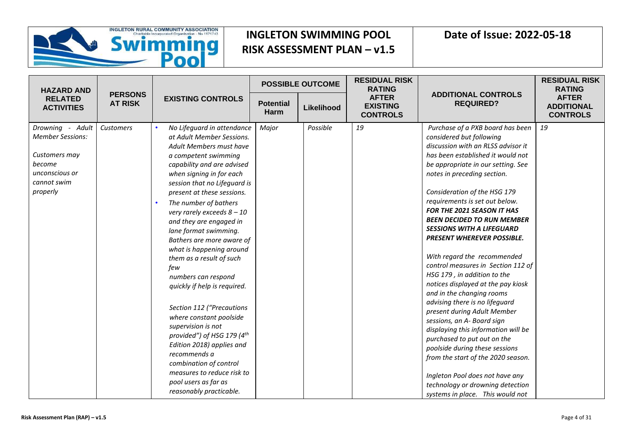

| <b>HAZARD AND</b>                                                                                                   |                                  |                                                                                                                                                                                                                                                                                                                                                                                                                                                                                                                                                                                                                                                                                                                                                                                   |                          | <b>POSSIBLE OUTCOME</b> | <b>RESIDUAL RISK</b><br><b>RATING</b>              |                                                                                                                                                                                                                                                                                                                                                                                                                                                                                                                                                                                                                                                                                                                                                                                                                                                                                                                                                                  | <b>RESIDUAL RISK</b><br><b>RATING</b>                |
|---------------------------------------------------------------------------------------------------------------------|----------------------------------|-----------------------------------------------------------------------------------------------------------------------------------------------------------------------------------------------------------------------------------------------------------------------------------------------------------------------------------------------------------------------------------------------------------------------------------------------------------------------------------------------------------------------------------------------------------------------------------------------------------------------------------------------------------------------------------------------------------------------------------------------------------------------------------|--------------------------|-------------------------|----------------------------------------------------|------------------------------------------------------------------------------------------------------------------------------------------------------------------------------------------------------------------------------------------------------------------------------------------------------------------------------------------------------------------------------------------------------------------------------------------------------------------------------------------------------------------------------------------------------------------------------------------------------------------------------------------------------------------------------------------------------------------------------------------------------------------------------------------------------------------------------------------------------------------------------------------------------------------------------------------------------------------|------------------------------------------------------|
| <b>RELATED</b><br><b>ACTIVITIES</b>                                                                                 | <b>PERSONS</b><br><b>AT RISK</b> | <b>EXISTING CONTROLS</b>                                                                                                                                                                                                                                                                                                                                                                                                                                                                                                                                                                                                                                                                                                                                                          | <b>Potential</b><br>Harm | Likelihood              | <b>AFTER</b><br><b>EXISTING</b><br><b>CONTROLS</b> | <b>ADDITIONAL CONTROLS</b><br><b>REQUIRED?</b>                                                                                                                                                                                                                                                                                                                                                                                                                                                                                                                                                                                                                                                                                                                                                                                                                                                                                                                   | <b>AFTER</b><br><b>ADDITIONAL</b><br><b>CONTROLS</b> |
| Drowning - Adult<br><b>Member Sessions:</b><br>Customers may<br>become<br>unconscious or<br>cannot swim<br>properly | Customers                        | No Lifeguard in attendance<br>at Adult Member Sessions.<br>Adult Members must have<br>a competent swimming<br>capability and are advised<br>when signing in for each<br>session that no Lifeguard is<br>present at these sessions.<br>The number of bathers<br>$\bullet$<br>very rarely exceeds $8-10$<br>and they are engaged in<br>lane format swimming.<br>Bathers are more aware of<br>what is happening around<br>them as a result of such<br>few<br>numbers can respond<br>quickly if help is required.<br>Section 112 ("Precautions<br>where constant poolside<br>supervision is not<br>provided") of HSG 179 (4th<br>Edition 2018) applies and<br>recommends a<br>combination of control<br>measures to reduce risk to<br>pool users as far as<br>reasonably practicable. | Major                    | Possible                | 19                                                 | Purchase of a PXB board has been<br>considered but following<br>discussion with an RLSS advisor it<br>has been established it would not<br>be appropriate in our setting. See<br>notes in preceding section.<br>Consideration of the HSG 179<br>requirements is set out below.<br><b>FOR THE 2021 SEASON IT HAS</b><br><b>BEEN DECIDED TO RUN MEMBER</b><br><b>SESSIONS WITH A LIFEGUARD</b><br><b>PRESENT WHEREVER POSSIBLE.</b><br>With regard the recommended<br>control measures in Section 112 of<br>HSG 179, in addition to the<br>notices displayed at the pay kiosk<br>and in the changing rooms<br>advising there is no lifeguard<br>present during Adult Member<br>sessions, an A- Board sign<br>displaying this information will be<br>purchased to put out on the<br>poolside during these sessions<br>from the start of the 2020 season.<br>Ingleton Pool does not have any<br>technology or drowning detection<br>systems in place. This would not | 19                                                   |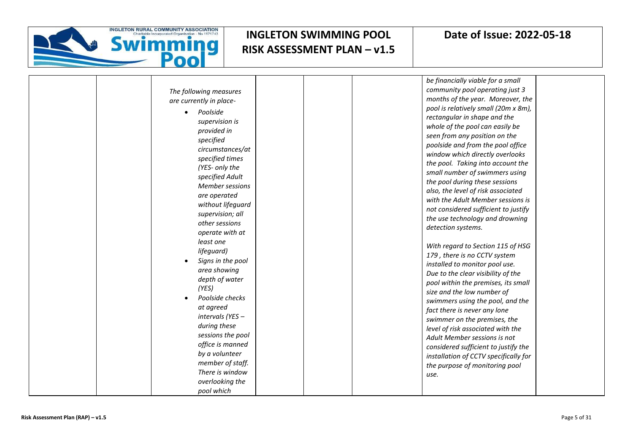

|                         | be financially viable for a small     |
|-------------------------|---------------------------------------|
| The following measures  | community pool operating just 3       |
| are currently in place- | months of the year. Moreover, the     |
| Poolside                | pool is relatively small (20m x 8m),  |
| supervision is          | rectangular in shape and the          |
| provided in             | whole of the pool can easily be       |
| specified               | seen from any position on the         |
| circumstances/at        | poolside and from the pool office     |
| specified times         | window which directly overlooks       |
| (YES- only the          | the pool. Taking into account the     |
| specified Adult         | small number of swimmers using        |
| <b>Member sessions</b>  | the pool during these sessions        |
| are operated            | also, the level of risk associated    |
| without lifeguard       | with the Adult Member sessions is     |
| supervision; all        | not considered sufficient to justify  |
| other sessions          | the use technology and drowning       |
| operate with at         | detection systems.                    |
| least one               |                                       |
| lifeguard)              | With regard to Section 115 of HSG     |
| Signs in the pool       | 179, there is no CCTV system          |
| area showing            | installed to monitor pool use.        |
| depth of water          | Due to the clear visibility of the    |
| (YES)                   | pool within the premises, its small   |
| Poolside checks         | size and the low number of            |
| at agreed               | swimmers using the pool, and the      |
| intervals (YES -        | fact there is never any lone          |
| during these            | swimmer on the premises, the          |
| sessions the pool       | level of risk associated with the     |
| office is manned        | Adult Member sessions is not          |
| by a volunteer          | considered sufficient to justify the  |
| member of staff.        | installation of CCTV specifically for |
| There is window         | the purpose of monitoring pool        |
| overlooking the         | use.                                  |
| pool which              |                                       |
|                         |                                       |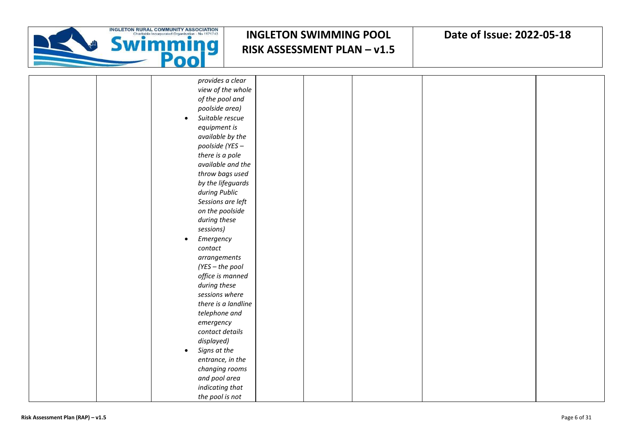

|  | provides a clear             |  |  |  |
|--|------------------------------|--|--|--|
|  | view of the whole            |  |  |  |
|  | of the pool and              |  |  |  |
|  | poolside area)               |  |  |  |
|  | Suitable rescue<br>$\bullet$ |  |  |  |
|  | equipment is                 |  |  |  |
|  | available by the             |  |  |  |
|  | poolside (YES -              |  |  |  |
|  | there is a pole              |  |  |  |
|  | available and the            |  |  |  |
|  | throw bags used              |  |  |  |
|  | by the lifeguards            |  |  |  |
|  | during Public                |  |  |  |
|  | Sessions are left            |  |  |  |
|  | on the poolside              |  |  |  |
|  | during these                 |  |  |  |
|  | sessions)                    |  |  |  |
|  | Emergency<br>$\bullet$       |  |  |  |
|  | contact                      |  |  |  |
|  | arrangements                 |  |  |  |
|  | (YES - the pool              |  |  |  |
|  | office is manned             |  |  |  |
|  | during these                 |  |  |  |
|  | sessions where               |  |  |  |
|  | there is a landline          |  |  |  |
|  | telephone and                |  |  |  |
|  | emergency                    |  |  |  |
|  | contact details              |  |  |  |
|  | displayed)                   |  |  |  |
|  | Signs at the<br>$\bullet$    |  |  |  |
|  | entrance, in the             |  |  |  |
|  | changing rooms               |  |  |  |
|  | and pool area                |  |  |  |
|  | indicating that              |  |  |  |
|  | the pool is not              |  |  |  |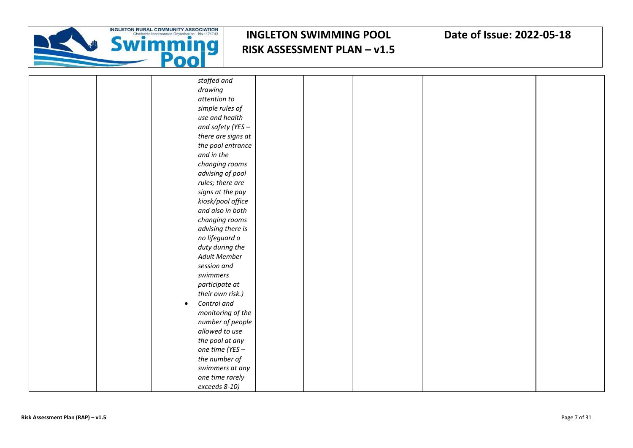

| staffed and              |  |  |
|--------------------------|--|--|
| drawing                  |  |  |
| attention to             |  |  |
| simple rules of          |  |  |
| use and health           |  |  |
| and safety (YES $-$      |  |  |
| there are signs at       |  |  |
| the pool entrance        |  |  |
| and in the               |  |  |
| changing rooms           |  |  |
| advising of pool         |  |  |
| rules; there are         |  |  |
| signs at the pay         |  |  |
| kiosk/pool office        |  |  |
| and also in both         |  |  |
| changing rooms           |  |  |
| advising there is        |  |  |
| no lifeguard o           |  |  |
| duty during the          |  |  |
| <b>Adult Member</b>      |  |  |
| session and              |  |  |
| swimmers                 |  |  |
| participate at           |  |  |
| their own risk.)         |  |  |
| Control and<br>$\bullet$ |  |  |
| monitoring of the        |  |  |
| number of people         |  |  |
| allowed to use           |  |  |
| the pool at any          |  |  |
| one time (YES -          |  |  |
| the number of            |  |  |
| swimmers at any          |  |  |
| one time rarely          |  |  |
| exceeds 8-10)            |  |  |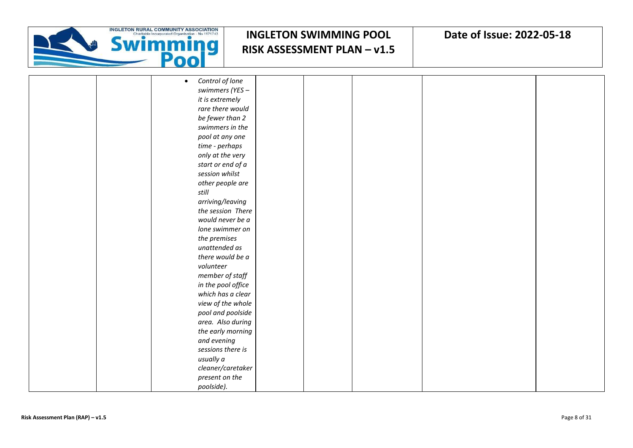

| Control of lone<br>$\bullet$ |  |
|------------------------------|--|
| swimmers (YES -              |  |
| it is extremely              |  |
| rare there would             |  |
| be fewer than 2              |  |
| swimmers in the              |  |
| pool at any one              |  |
| time - perhaps               |  |
| only at the very             |  |
| start or end of a            |  |
| session whilst               |  |
| other people are             |  |
| still                        |  |
| arriving/leaving             |  |
| the session There            |  |
| would never be a             |  |
| lone swimmer on              |  |
| the premises                 |  |
| unattended as                |  |
| there would be a             |  |
| volunteer                    |  |
| member of staff              |  |
| in the pool office           |  |
| which has a clear            |  |
| view of the whole            |  |
| pool and poolside            |  |
| area. Also during            |  |
| the early morning            |  |
| and evening                  |  |
| sessions there is            |  |
| usually a                    |  |
| cleaner/caretaker            |  |
| present on the               |  |
| poolside).                   |  |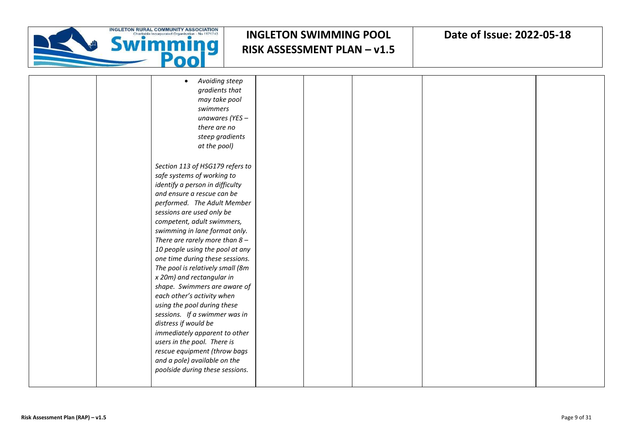

|  | Avoiding steep<br>$\bullet$      |  |  |  |
|--|----------------------------------|--|--|--|
|  | gradients that                   |  |  |  |
|  | may take pool                    |  |  |  |
|  | swimmers                         |  |  |  |
|  | unawares (YES -                  |  |  |  |
|  | there are no                     |  |  |  |
|  | steep gradients                  |  |  |  |
|  | at the pool)                     |  |  |  |
|  |                                  |  |  |  |
|  | Section 113 of HSG179 refers to  |  |  |  |
|  | safe systems of working to       |  |  |  |
|  | identify a person in difficulty  |  |  |  |
|  | and ensure a rescue can be       |  |  |  |
|  | performed. The Adult Member      |  |  |  |
|  | sessions are used only be        |  |  |  |
|  | competent, adult swimmers,       |  |  |  |
|  | swimming in lane format only.    |  |  |  |
|  | There are rarely more than $8-$  |  |  |  |
|  | 10 people using the pool at any  |  |  |  |
|  | one time during these sessions.  |  |  |  |
|  | The pool is relatively small (8m |  |  |  |
|  |                                  |  |  |  |
|  | x 20m) and rectangular in        |  |  |  |
|  | shape. Swimmers are aware of     |  |  |  |
|  | each other's activity when       |  |  |  |
|  | using the pool during these      |  |  |  |
|  | sessions. If a swimmer was in    |  |  |  |
|  | distress if would be             |  |  |  |
|  | immediately apparent to other    |  |  |  |
|  | users in the pool. There is      |  |  |  |
|  | rescue equipment (throw bags     |  |  |  |
|  | and a pole) available on the     |  |  |  |
|  | poolside during these sessions.  |  |  |  |
|  |                                  |  |  |  |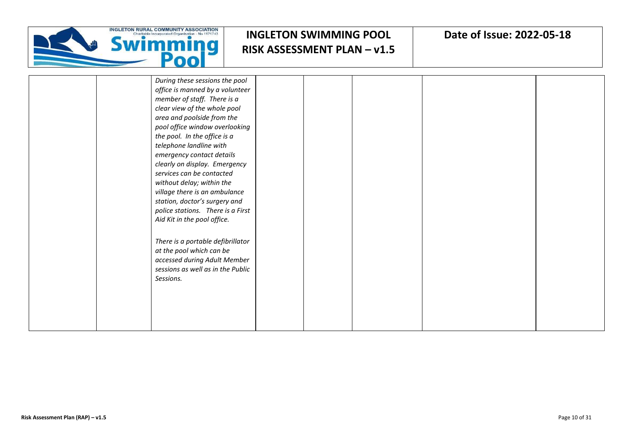

|  | During these sessions the pool                                |  |  |  |
|--|---------------------------------------------------------------|--|--|--|
|  | office is manned by a volunteer                               |  |  |  |
|  | member of staff. There is a                                   |  |  |  |
|  | clear view of the whole pool                                  |  |  |  |
|  | area and poolside from the                                    |  |  |  |
|  | pool office window overlooking                                |  |  |  |
|  | the pool. In the office is a                                  |  |  |  |
|  | telephone landline with                                       |  |  |  |
|  | emergency contact details                                     |  |  |  |
|  | clearly on display. Emergency                                 |  |  |  |
|  | services can be contacted                                     |  |  |  |
|  | without delay; within the                                     |  |  |  |
|  | village there is an ambulance                                 |  |  |  |
|  | station, doctor's surgery and                                 |  |  |  |
|  | police stations. There is a First                             |  |  |  |
|  | Aid Kit in the pool office.                                   |  |  |  |
|  |                                                               |  |  |  |
|  |                                                               |  |  |  |
|  | There is a portable defibrillator<br>at the pool which can be |  |  |  |
|  | accessed during Adult Member                                  |  |  |  |
|  | sessions as well as in the Public                             |  |  |  |
|  |                                                               |  |  |  |
|  | Sessions.                                                     |  |  |  |
|  |                                                               |  |  |  |
|  |                                                               |  |  |  |
|  |                                                               |  |  |  |
|  |                                                               |  |  |  |
|  |                                                               |  |  |  |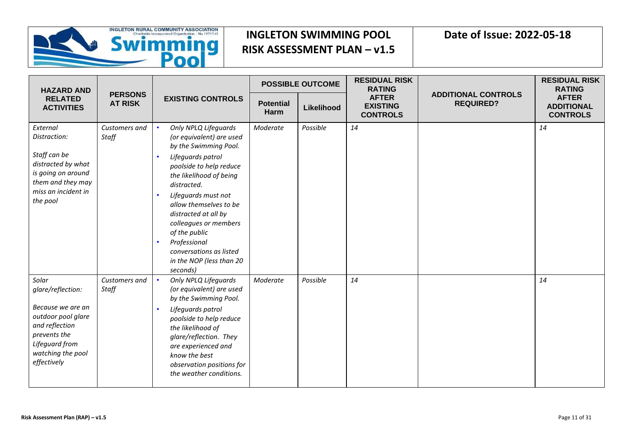

| <b>HAZARD AND</b>                                                                                                                                             |                        | <b>PERSONS</b><br><b>EXISTING CONTROLS</b><br><b>AT RISK</b>                                                                                                                                                                                                                                                                                                              |                          | <b>POSSIBLE OUTCOME</b> | <b>RESIDUAL RISK</b><br><b>RATING</b>              |                                                | <b>RESIDUAL RISK</b><br><b>RATING</b>                |
|---------------------------------------------------------------------------------------------------------------------------------------------------------------|------------------------|---------------------------------------------------------------------------------------------------------------------------------------------------------------------------------------------------------------------------------------------------------------------------------------------------------------------------------------------------------------------------|--------------------------|-------------------------|----------------------------------------------------|------------------------------------------------|------------------------------------------------------|
| <b>RELATED</b><br><b>ACTIVITIES</b>                                                                                                                           |                        |                                                                                                                                                                                                                                                                                                                                                                           | <b>Potential</b><br>Harm | Likelihood              | <b>AFTER</b><br><b>EXISTING</b><br><b>CONTROLS</b> | <b>ADDITIONAL CONTROLS</b><br><b>REQUIRED?</b> | <b>AFTER</b><br><b>ADDITIONAL</b><br><b>CONTROLS</b> |
| External<br>Distraction:<br>Staff can be<br>distracted by what<br>is going on around<br>them and they may<br>miss an incident in<br>the pool                  | Customers and<br>Staff | Only NPLQ Lifeguards<br>(or equivalent) are used<br>by the Swimming Pool.<br>Lifeguards patrol<br>poolside to help reduce<br>the likelihood of being<br>distracted.<br>Lifeguards must not<br>allow themselves to be<br>distracted at all by<br>colleagues or members<br>of the public<br>Professional<br>conversations as listed<br>in the NOP (less than 20<br>seconds) | Moderate                 | Possible                | 14                                                 |                                                | 14                                                   |
| Solar<br>glare/reflection:<br>Because we are an<br>outdoor pool glare<br>and reflection<br>prevents the<br>Lifeguard from<br>watching the pool<br>effectively | Customers and<br>Staff | <b>Only NPLQ Lifeguards</b><br>(or equivalent) are used<br>by the Swimming Pool.<br>Lifeguards patrol<br>poolside to help reduce<br>the likelihood of<br>glare/reflection. They<br>are experienced and<br>know the best<br>observation positions for<br>the weather conditions.                                                                                           | Moderate                 | Possible                | 14                                                 |                                                | 14                                                   |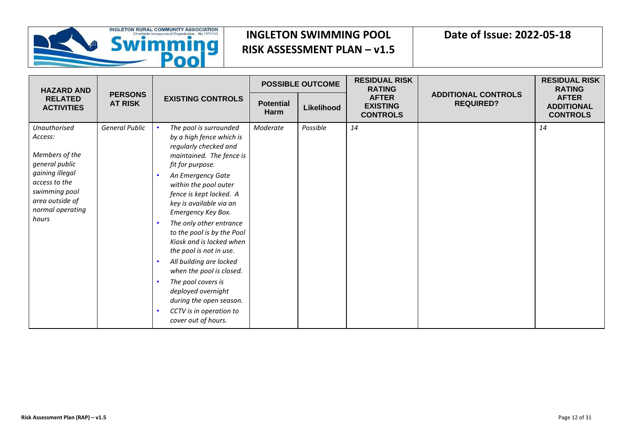

| <b>HAZARD AND</b>                                                                                                                                                |                                  | <b>EXISTING CONTROLS</b>                                                                                                                                                                                                                                                                                                                                                                                                                                                                                                                              |                                 | <b>POSSIBLE OUTCOME</b> | <b>RESIDUAL RISK</b><br><b>RATING</b>              | <b>ADDITIONAL CONTROLS</b><br><b>REQUIRED?</b> | <b>RESIDUAL RISK</b><br><b>RATING</b>                |
|------------------------------------------------------------------------------------------------------------------------------------------------------------------|----------------------------------|-------------------------------------------------------------------------------------------------------------------------------------------------------------------------------------------------------------------------------------------------------------------------------------------------------------------------------------------------------------------------------------------------------------------------------------------------------------------------------------------------------------------------------------------------------|---------------------------------|-------------------------|----------------------------------------------------|------------------------------------------------|------------------------------------------------------|
| <b>RELATED</b><br><b>ACTIVITIES</b>                                                                                                                              | <b>PERSONS</b><br><b>AT RISK</b> |                                                                                                                                                                                                                                                                                                                                                                                                                                                                                                                                                       | <b>Potential</b><br><b>Harm</b> | Likelihood              | <b>AFTER</b><br><b>EXISTING</b><br><b>CONTROLS</b> |                                                | <b>AFTER</b><br><b>ADDITIONAL</b><br><b>CONTROLS</b> |
| Unauthorised<br>Access:<br>Members of the<br>general public<br>gaining illegal<br>access to the<br>swimming pool<br>area outside of<br>normal operating<br>hours | <b>General Public</b>            | The pool is surrounded<br>by a high fence which is<br>regularly checked and<br>maintained. The fence is<br>fit for purpose.<br>An Emergency Gate<br>within the pool outer<br>fence is kept locked. A<br>key is available via an<br>Emergency Key Box.<br>The only other entrance<br>to the pool is by the Pool<br>Kiosk and is locked when<br>the pool is not in use.<br>All building are locked<br>when the pool is closed.<br>The pool covers is<br>deployed overnight<br>during the open season.<br>CCTV is in operation to<br>cover out of hours. | Moderate                        | Possible                | 14                                                 |                                                | 14                                                   |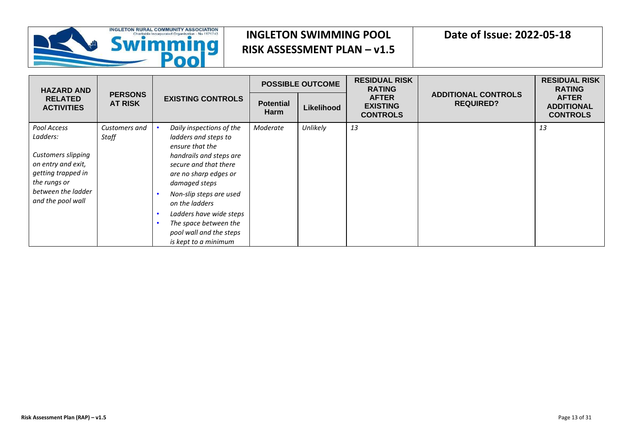

| <b>HAZARD AND</b>                                                                                                                                           |                                  | <b>EXISTING CONTROLS</b>                                                                                                                                                                                                                                                                                              |                                 | <b>POSSIBLE OUTCOME</b> | <b>RESIDUAL RISK</b><br><b>RATING</b>              |                                                | <b>RESIDUAL RISK</b><br><b>RATING</b>                |
|-------------------------------------------------------------------------------------------------------------------------------------------------------------|----------------------------------|-----------------------------------------------------------------------------------------------------------------------------------------------------------------------------------------------------------------------------------------------------------------------------------------------------------------------|---------------------------------|-------------------------|----------------------------------------------------|------------------------------------------------|------------------------------------------------------|
| <b>RELATED</b><br><b>ACTIVITIES</b>                                                                                                                         | <b>PERSONS</b><br><b>AT RISK</b> |                                                                                                                                                                                                                                                                                                                       | <b>Potential</b><br><b>Harm</b> | Likelihood              | <b>AFTER</b><br><b>EXISTING</b><br><b>CONTROLS</b> | <b>ADDITIONAL CONTROLS</b><br><b>REQUIRED?</b> | <b>AFTER</b><br><b>ADDITIONAL</b><br><b>CONTROLS</b> |
| Pool Access<br>Ladders:<br><b>Customers slipping</b><br>on entry and exit,<br>getting trapped in<br>the rungs or<br>between the ladder<br>and the pool wall | Customers and<br>Staff           | Daily inspections of the<br>ladders and steps to<br>ensure that the<br>handrails and steps are<br>secure and that there<br>are no sharp edges or<br>damaged steps<br>Non-slip steps are used<br>on the ladders<br>Ladders have wide steps<br>The space between the<br>pool wall and the steps<br>is kept to a minimum | Moderate                        | Unlikely                | 13                                                 |                                                | 13                                                   |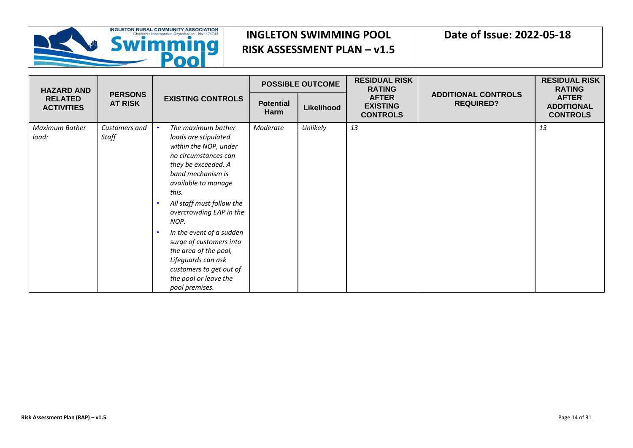

| <b>HAZARD AND</b>                                     |                        |                                                                                                                                                                                                                                                                                                                                                                                                                     |                          | <b>POSSIBLE OUTCOME</b> | <b>RESIDUAL RISK</b><br><b>RATING</b>              | <b>ADDITIONAL CONTROLS</b><br><b>REQUIRED?</b> | <b>RESIDUAL RISK</b><br><b>RATING</b>                |
|-------------------------------------------------------|------------------------|---------------------------------------------------------------------------------------------------------------------------------------------------------------------------------------------------------------------------------------------------------------------------------------------------------------------------------------------------------------------------------------------------------------------|--------------------------|-------------------------|----------------------------------------------------|------------------------------------------------|------------------------------------------------------|
| <b>RELATED</b><br><b>AT RISK</b><br><b>ACTIVITIES</b> | <b>PERSONS</b>         | <b>EXISTING CONTROLS</b>                                                                                                                                                                                                                                                                                                                                                                                            | <b>Potential</b><br>Harm | Likelihood              | <b>AFTER</b><br><b>EXISTING</b><br><b>CONTROLS</b> |                                                | <b>AFTER</b><br><b>ADDITIONAL</b><br><b>CONTROLS</b> |
| Maximum Bather<br>load:                               | Customers and<br>Staff | The maximum bather<br>loads are stipulated<br>within the NOP, under<br>no circumstances can<br>they be exceeded. A<br>band mechanism is<br>available to manage<br>this.<br>All staff must follow the<br>overcrowding EAP in the<br>NOP.<br>In the event of a sudden<br>surge of customers into<br>the area of the pool,<br>Lifeguards can ask<br>customers to get out of<br>the pool or leave the<br>pool premises. | Moderate                 | Unlikely                | 13                                                 |                                                | 13                                                   |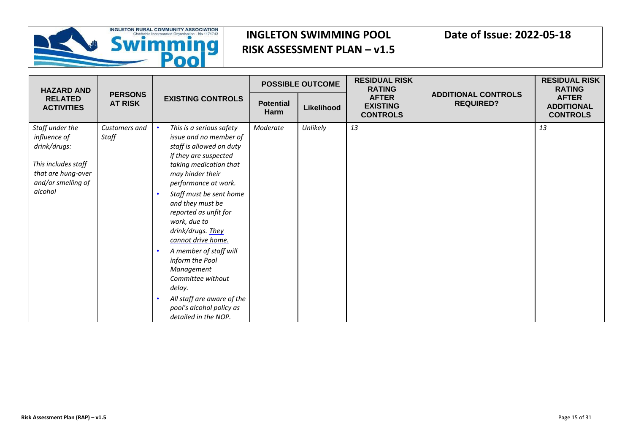

| <b>HAZARD AND</b>                                                                                                             |                                  |                                                                                                                                                                                                                                                                                                                                                                                                                                                                                              |                          | <b>POSSIBLE OUTCOME</b> | <b>RESIDUAL RISK</b><br><b>RATING</b>              |                                                | <b>RESIDUAL RISK</b><br><b>RATING</b>                |
|-------------------------------------------------------------------------------------------------------------------------------|----------------------------------|----------------------------------------------------------------------------------------------------------------------------------------------------------------------------------------------------------------------------------------------------------------------------------------------------------------------------------------------------------------------------------------------------------------------------------------------------------------------------------------------|--------------------------|-------------------------|----------------------------------------------------|------------------------------------------------|------------------------------------------------------|
| <b>RELATED</b><br><b>ACTIVITIES</b>                                                                                           | <b>PERSONS</b><br><b>AT RISK</b> | <b>EXISTING CONTROLS</b>                                                                                                                                                                                                                                                                                                                                                                                                                                                                     | <b>Potential</b><br>Harm | Likelihood              | <b>AFTER</b><br><b>EXISTING</b><br><b>CONTROLS</b> | <b>ADDITIONAL CONTROLS</b><br><b>REQUIRED?</b> | <b>AFTER</b><br><b>ADDITIONAL</b><br><b>CONTROLS</b> |
| Staff under the<br>influence of<br>drink/drugs:<br>This includes staff<br>that are hung-over<br>and/or smelling of<br>alcohol | Customers and<br>Staff           | This is a serious safety<br>issue and no member of<br>staff is allowed on duty<br>if they are suspected<br>taking medication that<br>may hinder their<br>performance at work.<br>Staff must be sent home<br>and they must be<br>reported as unfit for<br>work, due to<br>drink/drugs. They<br>cannot drive home.<br>A member of staff will<br>inform the Pool<br>Management<br>Committee without<br>delay.<br>All staff are aware of the<br>pool's alcohol policy as<br>detailed in the NOP. | Moderate                 | Unlikely                | 13                                                 |                                                | 13                                                   |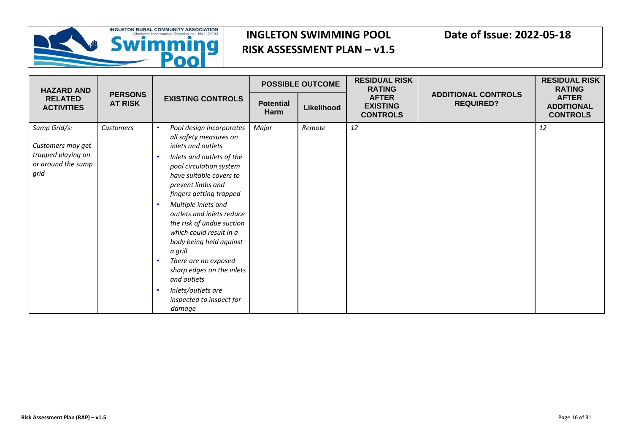

| <b>HAZARD AND</b>                                                                     |                                  | <b>EXISTING CONTROLS</b>                                                                                                                                                                                                                                                                                                                                                                                                                                                                      |                          | <b>POSSIBLE OUTCOME</b> | <b>RESIDUAL RISK</b><br><b>RATING</b>              |                                                | <b>RESIDUAL RISK</b><br><b>RATING</b>                |
|---------------------------------------------------------------------------------------|----------------------------------|-----------------------------------------------------------------------------------------------------------------------------------------------------------------------------------------------------------------------------------------------------------------------------------------------------------------------------------------------------------------------------------------------------------------------------------------------------------------------------------------------|--------------------------|-------------------------|----------------------------------------------------|------------------------------------------------|------------------------------------------------------|
| <b>RELATED</b><br><b>ACTIVITIES</b>                                                   | <b>PERSONS</b><br><b>AT RISK</b> |                                                                                                                                                                                                                                                                                                                                                                                                                                                                                               | <b>Potential</b><br>Harm | Likelihood              | <b>AFTER</b><br><b>EXISTING</b><br><b>CONTROLS</b> | <b>ADDITIONAL CONTROLS</b><br><b>REQUIRED?</b> | <b>AFTER</b><br><b>ADDITIONAL</b><br><b>CONTROLS</b> |
| Sump Grid/s:<br>Customers may get<br>trapped playing on<br>or around the sump<br>grid | Customers                        | Pool design incorporates<br>all safety measures on<br>inlets and outlets<br>Inlets and outlets of the<br>pool circulation system<br>have suitable covers to<br>prevent limbs and<br>fingers getting trapped<br>Multiple inlets and<br>outlets and inlets reduce<br>the risk of undue suction<br>which could result in a<br>body being held against<br>a grill<br>There are no exposed<br>sharp edges on the inlets<br>and outlets<br>Inlets/outlets are<br>inspected to inspect for<br>damage | Major                    | Remote                  | 12                                                 |                                                | 12                                                   |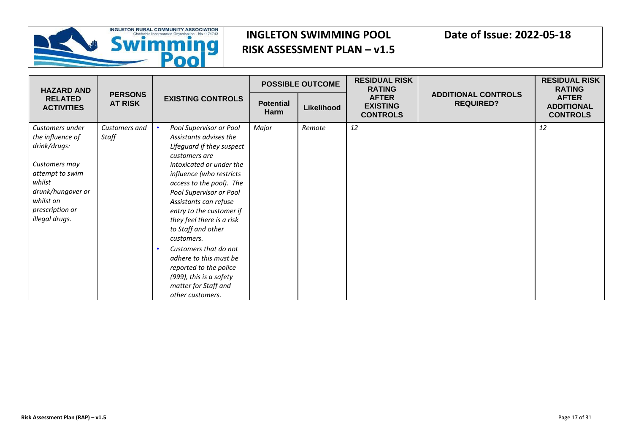

| <b>HAZARD AND</b>                                                                                                                                                        |                                  | <b>EXISTING CONTROLS</b>                                                                                                                                                                                                                                                                                                                                                                                                                                                                 |                          | <b>POSSIBLE OUTCOME</b> | <b>RESIDUAL RISK</b><br><b>RATING</b>              |                                                | <b>RESIDUAL RISK</b><br><b>RATING</b>                |
|--------------------------------------------------------------------------------------------------------------------------------------------------------------------------|----------------------------------|------------------------------------------------------------------------------------------------------------------------------------------------------------------------------------------------------------------------------------------------------------------------------------------------------------------------------------------------------------------------------------------------------------------------------------------------------------------------------------------|--------------------------|-------------------------|----------------------------------------------------|------------------------------------------------|------------------------------------------------------|
| <b>RELATED</b><br><b>ACTIVITIES</b>                                                                                                                                      | <b>PERSONS</b><br><b>AT RISK</b> |                                                                                                                                                                                                                                                                                                                                                                                                                                                                                          | <b>Potential</b><br>Harm | Likelihood              | <b>AFTER</b><br><b>EXISTING</b><br><b>CONTROLS</b> | <b>ADDITIONAL CONTROLS</b><br><b>REQUIRED?</b> | <b>AFTER</b><br><b>ADDITIONAL</b><br><b>CONTROLS</b> |
| Customers under<br>the influence of<br>drink/drugs:<br>Customers may<br>attempt to swim<br>whilst<br>drunk/hungover or<br>whilst on<br>prescription or<br>illegal drugs. | Customers and<br>Staff           | Pool Supervisor or Pool<br>Assistants advises the<br>Lifeguard if they suspect<br>customers are<br>intoxicated or under the<br>influence (who restricts<br>access to the pool). The<br>Pool Supervisor or Pool<br>Assistants can refuse<br>entry to the customer if<br>they feel there is a risk<br>to Staff and other<br>customers.<br>Customers that do not<br>adhere to this must be<br>reported to the police<br>(999), this is a safety<br>matter for Staff and<br>other customers. | Major                    | Remote                  | 12                                                 |                                                | 12                                                   |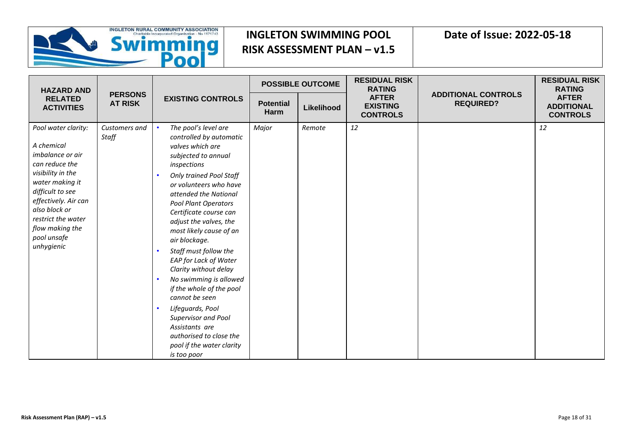

| <b>HAZARD AND</b>                                                                                                                                                                                                                                  |                                  |                                                                                                                                                                                                                                                                                                                                                                                                                                                                                                                                                                                                                             |                          | <b>POSSIBLE OUTCOME</b> | <b>RESIDUAL RISK</b><br><b>RATING</b>              | <b>ADDITIONAL CONTROLS</b><br><b>REQUIRED?</b> | <b>RESIDUAL RISK</b><br><b>RATING</b>                |
|----------------------------------------------------------------------------------------------------------------------------------------------------------------------------------------------------------------------------------------------------|----------------------------------|-----------------------------------------------------------------------------------------------------------------------------------------------------------------------------------------------------------------------------------------------------------------------------------------------------------------------------------------------------------------------------------------------------------------------------------------------------------------------------------------------------------------------------------------------------------------------------------------------------------------------------|--------------------------|-------------------------|----------------------------------------------------|------------------------------------------------|------------------------------------------------------|
| <b>RELATED</b><br><b>ACTIVITIES</b>                                                                                                                                                                                                                | <b>PERSONS</b><br><b>AT RISK</b> | <b>EXISTING CONTROLS</b>                                                                                                                                                                                                                                                                                                                                                                                                                                                                                                                                                                                                    | <b>Potential</b><br>Harm | Likelihood              | <b>AFTER</b><br><b>EXISTING</b><br><b>CONTROLS</b> |                                                | <b>AFTER</b><br><b>ADDITIONAL</b><br><b>CONTROLS</b> |
| Pool water clarity:<br>A chemical<br>imbalance or air<br>can reduce the<br>visibility in the<br>water making it<br>difficult to see<br>effectively. Air can<br>also block or<br>restrict the water<br>flow making the<br>pool unsafe<br>unhygienic | Customers and<br>Staff           | The pool's level are<br>controlled by automatic<br>valves which are<br>subjected to annual<br>inspections<br><b>Only trained Pool Staff</b><br>or volunteers who have<br>attended the National<br><b>Pool Plant Operators</b><br>Certificate course can<br>adjust the valves, the<br>most likely cause of an<br>air blockage.<br>Staff must follow the<br>EAP for Lack of Water<br>Clarity without delay<br>No swimming is allowed<br>if the whole of the pool<br>cannot be seen<br>Lifeguards, Pool<br><b>Supervisor and Pool</b><br>Assistants are<br>authorised to close the<br>pool if the water clarity<br>is too poor | Major                    | Remote                  | 12                                                 |                                                | 12                                                   |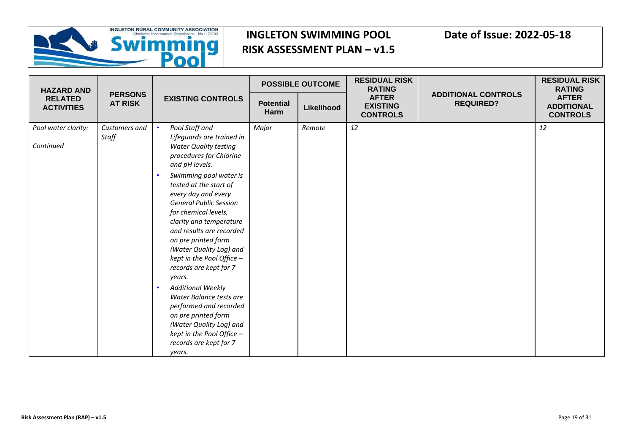

| <b>HAZARD AND</b>                   |                                  |                                                                                                                                                                                                                                                                                                                                                                                                                                                                                                                                                |                          | <b>POSSIBLE OUTCOME</b> | <b>RESIDUAL RISK</b><br><b>RATING</b>              |                                                | <b>RESIDUAL RISK</b><br><b>RATING</b>                |
|-------------------------------------|----------------------------------|------------------------------------------------------------------------------------------------------------------------------------------------------------------------------------------------------------------------------------------------------------------------------------------------------------------------------------------------------------------------------------------------------------------------------------------------------------------------------------------------------------------------------------------------|--------------------------|-------------------------|----------------------------------------------------|------------------------------------------------|------------------------------------------------------|
| <b>RELATED</b><br><b>ACTIVITIES</b> | <b>PERSONS</b><br><b>AT RISK</b> | <b>EXISTING CONTROLS</b>                                                                                                                                                                                                                                                                                                                                                                                                                                                                                                                       | <b>Potential</b><br>Harm | Likelihood              | <b>AFTER</b><br><b>EXISTING</b><br><b>CONTROLS</b> | <b>ADDITIONAL CONTROLS</b><br><b>REQUIRED?</b> | <b>AFTER</b><br><b>ADDITIONAL</b><br><b>CONTROLS</b> |
| Pool water clarity:<br>Continued    | Customers and<br>Staff           | Pool Staff and<br>Lifeguards are trained in<br><b>Water Quality testing</b><br>procedures for Chlorine<br>and pH levels.<br>Swimming pool water is<br>tested at the start of<br>every day and every<br><b>General Public Session</b><br>for chemical levels,<br>clarity and temperature<br>and results are recorded<br>on pre printed form<br>(Water Quality Log) and<br>kept in the Pool Office -<br>records are kept for 7<br>years.<br><b>Additional Weekly</b><br>Water Balance tests are<br>performed and recorded<br>on pre printed form | Major                    | Remote                  | 12                                                 |                                                | 12                                                   |
|                                     |                                  | (Water Quality Log) and<br>kept in the Pool Office -<br>records are kept for 7<br>years.                                                                                                                                                                                                                                                                                                                                                                                                                                                       |                          |                         |                                                    |                                                |                                                      |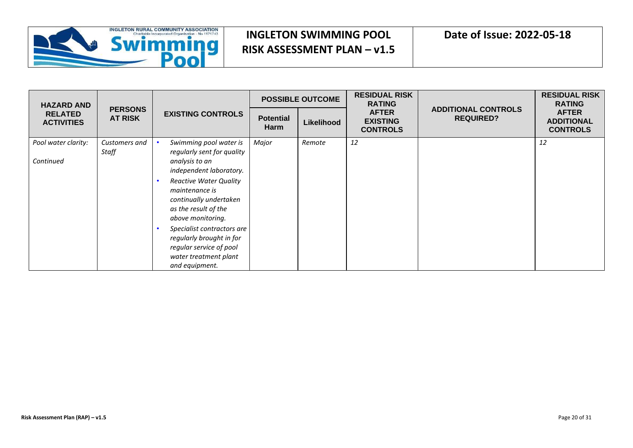

| <b>HAZARD AND</b>                   |                                  | <b>EXISTING CONTROLS</b>                                                                                                     |                          | <b>POSSIBLE OUTCOME</b> | <b>RESIDUAL RISK</b><br><b>RATING</b>              |                                                | <b>RESIDUAL RISK</b><br><b>RATING</b>                |
|-------------------------------------|----------------------------------|------------------------------------------------------------------------------------------------------------------------------|--------------------------|-------------------------|----------------------------------------------------|------------------------------------------------|------------------------------------------------------|
| <b>RELATED</b><br><b>ACTIVITIES</b> | <b>PERSONS</b><br><b>AT RISK</b> |                                                                                                                              | <b>Potential</b><br>Harm | Likelihood              | <b>AFTER</b><br><b>EXISTING</b><br><b>CONTROLS</b> | <b>ADDITIONAL CONTROLS</b><br><b>REQUIRED?</b> | <b>AFTER</b><br><b>ADDITIONAL</b><br><b>CONTROLS</b> |
| Pool water clarity:<br>Continued    | Customers and<br>Staff           | Swimming pool water is<br>regularly sent for quality<br>analysis to an<br>independent laboratory.                            | Major                    | Remote                  | 12                                                 |                                                | 12                                                   |
|                                     |                                  | <b>Reactive Water Quality</b><br>maintenance is<br>continually undertaken<br>as the result of the<br>above monitoring.       |                          |                         |                                                    |                                                |                                                      |
|                                     |                                  | Specialist contractors are<br>regularly brought in for<br>regular service of pool<br>water treatment plant<br>and equipment. |                          |                         |                                                    |                                                |                                                      |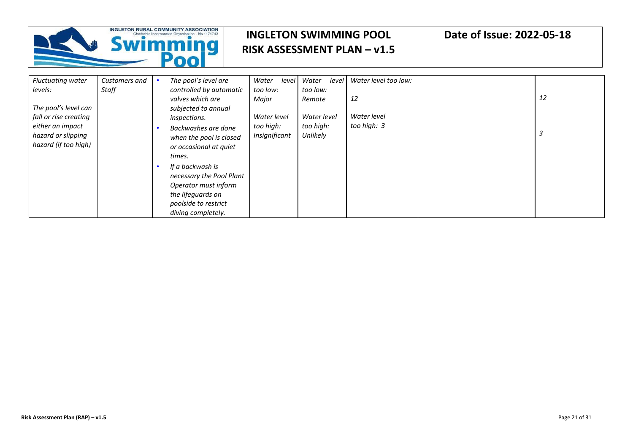

| <b>Fluctuating water</b><br>levels: | Customers and<br><b>Staff</b> | The pool's level are<br>controlled by automatic | Water<br>level<br>too low: | Water<br>level<br>too low: | Water level too low: |    |
|-------------------------------------|-------------------------------|-------------------------------------------------|----------------------------|----------------------------|----------------------|----|
|                                     |                               | valves which are                                | Major                      | Remote                     | 12                   | 12 |
| The pool's level can                |                               | subjected to annual                             |                            |                            |                      |    |
| fall or rise creating               |                               | inspections.                                    | Water level                | Water level                | Water level          |    |
| either an impact                    |                               | Backwashes are done                             | too high:                  | too high:                  | too high: 3          |    |
| hazard or slipping                  |                               | when the pool is closed                         | Insignificant              | Unlikely                   |                      |    |
| hazard (if too high)                |                               | or occasional at quiet                          |                            |                            |                      |    |
|                                     |                               | times.                                          |                            |                            |                      |    |
|                                     |                               | If a backwash is                                |                            |                            |                      |    |
|                                     |                               | necessary the Pool Plant                        |                            |                            |                      |    |
|                                     |                               | Operator must inform                            |                            |                            |                      |    |
|                                     |                               | the lifeguards on                               |                            |                            |                      |    |
|                                     |                               | poolside to restrict                            |                            |                            |                      |    |
|                                     |                               | diving completely.                              |                            |                            |                      |    |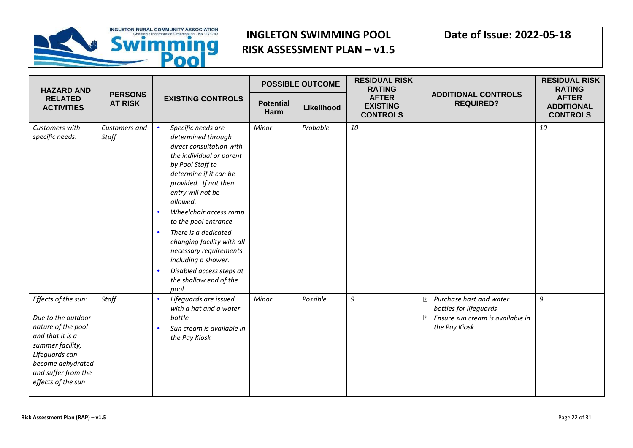

| <b>HAZARD AND</b><br><b>RELATED</b><br><b>ACTIVITIES</b>                                                                                                                                    |                                  | <b>EXISTING CONTROLS</b>                                                                                                                                                                                                                                                                                                                                                                                                         |                          | <b>POSSIBLE OUTCOME</b> | <b>RESIDUAL RISK</b><br><b>RATING</b>              |                                                                                                                               | <b>RESIDUAL RISK</b><br><b>RATING</b>                |
|---------------------------------------------------------------------------------------------------------------------------------------------------------------------------------------------|----------------------------------|----------------------------------------------------------------------------------------------------------------------------------------------------------------------------------------------------------------------------------------------------------------------------------------------------------------------------------------------------------------------------------------------------------------------------------|--------------------------|-------------------------|----------------------------------------------------|-------------------------------------------------------------------------------------------------------------------------------|------------------------------------------------------|
|                                                                                                                                                                                             | <b>PERSONS</b><br><b>AT RISK</b> |                                                                                                                                                                                                                                                                                                                                                                                                                                  | <b>Potential</b><br>Harm | Likelihood              | <b>AFTER</b><br><b>EXISTING</b><br><b>CONTROLS</b> | <b>ADDITIONAL CONTROLS</b><br><b>REQUIRED?</b>                                                                                | <b>AFTER</b><br><b>ADDITIONAL</b><br><b>CONTROLS</b> |
| Customers with<br>specific needs:                                                                                                                                                           | Customers and<br>Staff           | Specific needs are<br>determined through<br>direct consultation with<br>the individual or parent<br>by Pool Staff to<br>determine if it can be<br>provided. If not then<br>entry will not be<br>allowed.<br>Wheelchair access ramp<br>to the pool entrance<br>There is a dedicated<br>changing facility with all<br>necessary requirements<br>including a shower.<br>Disabled access steps at<br>the shallow end of the<br>pool. | Minor                    | Probable                | 10                                                 |                                                                                                                               | 10                                                   |
| Effects of the sun:<br>Due to the outdoor<br>nature of the pool<br>and that it is a<br>summer facility,<br>Lifeguards can<br>become dehydrated<br>and suffer from the<br>effects of the sun | Staff                            | Lifequards are issued<br>with a hat and a water<br>bottle<br>Sun cream is available in<br>the Pay Kiosk                                                                                                                                                                                                                                                                                                                          | Minor                    | Possible                | 9                                                  | Purchase hast and water<br>$\overline{?}$<br>bottles for lifeguards<br>Ensure sun cream is available in<br>⊡<br>the Pay Kiosk | 9                                                    |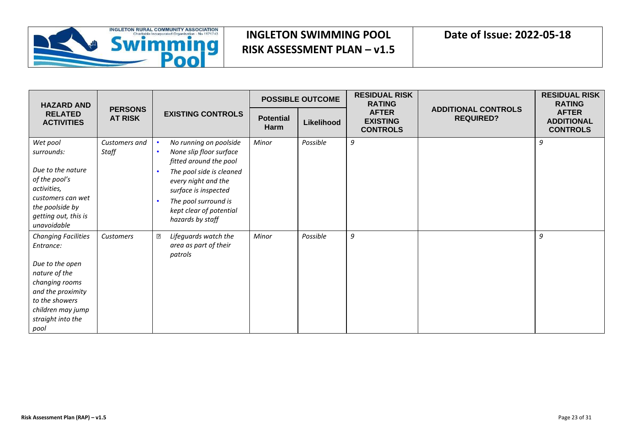

| <b>HAZARD AND</b><br><b>RELATED</b><br><b>ACTIVITIES</b> |                                  | <b>EXISTING CONTROLS</b>                          |                          | <b>POSSIBLE OUTCOME</b> | <b>RESIDUAL RISK</b><br><b>RATING</b>              |                                                | <b>RESIDUAL RISK</b><br><b>RATING</b>                |
|----------------------------------------------------------|----------------------------------|---------------------------------------------------|--------------------------|-------------------------|----------------------------------------------------|------------------------------------------------|------------------------------------------------------|
|                                                          | <b>PERSONS</b><br><b>AT RISK</b> |                                                   | <b>Potential</b><br>Harm | Likelihood              | <b>AFTER</b><br><b>EXISTING</b><br><b>CONTROLS</b> | <b>ADDITIONAL CONTROLS</b><br><b>REQUIRED?</b> | <b>AFTER</b><br><b>ADDITIONAL</b><br><b>CONTROLS</b> |
| Wet pool                                                 | Customers and                    | No running on poolside                            | Minor                    | Possible                | 9                                                  |                                                | 9                                                    |
| surrounds:                                               | Staff                            | None slip floor surface<br>fitted around the pool |                          |                         |                                                    |                                                |                                                      |
| Due to the nature                                        |                                  | The pool side is cleaned                          |                          |                         |                                                    |                                                |                                                      |
| of the pool's                                            |                                  | every night and the                               |                          |                         |                                                    |                                                |                                                      |
| activities,                                              |                                  | surface is inspected                              |                          |                         |                                                    |                                                |                                                      |
| customers can wet<br>the poolside by                     |                                  | The pool surround is                              |                          |                         |                                                    |                                                |                                                      |
| getting out, this is                                     |                                  | kept clear of potential                           |                          |                         |                                                    |                                                |                                                      |
| unavoidable                                              |                                  | hazards by staff                                  |                          |                         |                                                    |                                                |                                                      |
| <b>Changing Facilities</b>                               | Customers                        | $\overline{2}$<br>Lifeguards watch the            | Minor                    | Possible                | 9                                                  |                                                | 9                                                    |
| Entrance:                                                |                                  | area as part of their<br>patrols                  |                          |                         |                                                    |                                                |                                                      |
| Due to the open                                          |                                  |                                                   |                          |                         |                                                    |                                                |                                                      |
| nature of the                                            |                                  |                                                   |                          |                         |                                                    |                                                |                                                      |
| changing rooms                                           |                                  |                                                   |                          |                         |                                                    |                                                |                                                      |
| and the proximity                                        |                                  |                                                   |                          |                         |                                                    |                                                |                                                      |
| to the showers<br>children may jump                      |                                  |                                                   |                          |                         |                                                    |                                                |                                                      |
| straight into the                                        |                                  |                                                   |                          |                         |                                                    |                                                |                                                      |
| pool                                                     |                                  |                                                   |                          |                         |                                                    |                                                |                                                      |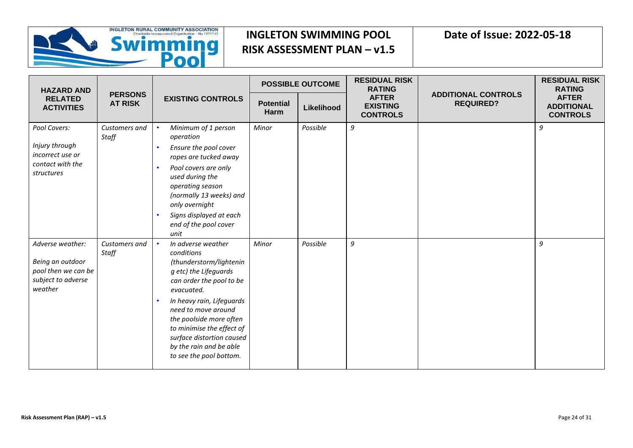

| <b>HAZARD AND</b>                   | <b>PERSONS</b><br><b>AT RISK</b> | <b>EXISTING CONTROLS</b>                                                                                                                                                                    | <b>POSSIBLE OUTCOME</b>  |            | <b>RESIDUAL RISK</b><br><b>RATING</b>              |                                                | <b>RESIDUAL RISK</b><br><b>RATING</b>                |
|-------------------------------------|----------------------------------|---------------------------------------------------------------------------------------------------------------------------------------------------------------------------------------------|--------------------------|------------|----------------------------------------------------|------------------------------------------------|------------------------------------------------------|
| <b>RELATED</b><br><b>ACTIVITIES</b> |                                  |                                                                                                                                                                                             | <b>Potential</b><br>Harm | Likelihood | <b>AFTER</b><br><b>EXISTING</b><br><b>CONTROLS</b> | <b>ADDITIONAL CONTROLS</b><br><b>REQUIRED?</b> | <b>AFTER</b><br><b>ADDITIONAL</b><br><b>CONTROLS</b> |
| Pool Covers:                        | Customers and<br>Staff           | Minimum of 1 person<br>operation                                                                                                                                                            | Minor                    | Possible   | 9                                                  |                                                | 9                                                    |
| Injury through<br>incorrect use or  |                                  | Ensure the pool cover<br>ropes are tucked away                                                                                                                                              |                          |            |                                                    |                                                |                                                      |
| contact with the<br>structures      |                                  | Pool covers are only<br>used during the<br>operating season<br>(normally 13 weeks) and<br>only overnight                                                                                    |                          |            |                                                    |                                                |                                                      |
|                                     |                                  | Signs displayed at each<br>end of the pool cover<br>unit                                                                                                                                    |                          |            |                                                    |                                                |                                                      |
| Adverse weather:                    | Customers and<br>Staff           | In adverse weather<br>conditions                                                                                                                                                            | Minor                    | Possible   | 9                                                  |                                                | 9                                                    |
| Being an outdoor                    |                                  | (thunderstorm/lightenin                                                                                                                                                                     |                          |            |                                                    |                                                |                                                      |
| pool then we can be                 |                                  | g etc) the Lifeguards                                                                                                                                                                       |                          |            |                                                    |                                                |                                                      |
| subject to adverse<br>weather       |                                  | can order the pool to be<br>evacuated.                                                                                                                                                      |                          |            |                                                    |                                                |                                                      |
|                                     |                                  | In heavy rain, Lifeguards<br>need to move around<br>the poolside more often<br>to minimise the effect of<br>surface distortion caused<br>by the rain and be able<br>to see the pool bottom. |                          |            |                                                    |                                                |                                                      |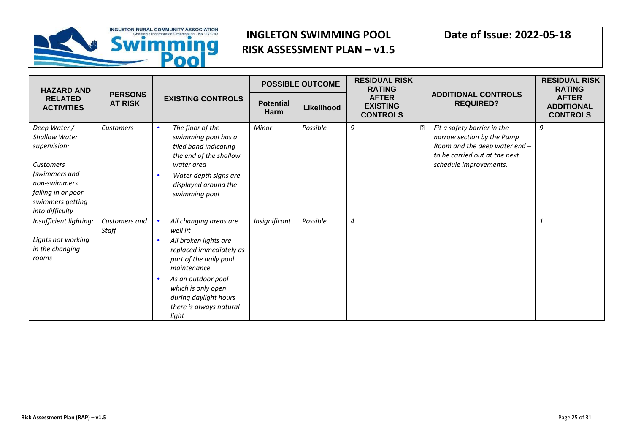

| <b>HAZARD AND</b>                                                                                                                                                      |                                  |                                                                                                                                                                                                                                          | <b>POSSIBLE OUTCOME</b>         |            | <b>RESIDUAL RISK</b><br><b>RATING</b>              |                                                                                                                                                            | <b>RESIDUAL RISK</b><br><b>RATING</b>                |
|------------------------------------------------------------------------------------------------------------------------------------------------------------------------|----------------------------------|------------------------------------------------------------------------------------------------------------------------------------------------------------------------------------------------------------------------------------------|---------------------------------|------------|----------------------------------------------------|------------------------------------------------------------------------------------------------------------------------------------------------------------|------------------------------------------------------|
| <b>RELATED</b><br><b>ACTIVITIES</b>                                                                                                                                    | <b>PERSONS</b><br><b>AT RISK</b> | <b>EXISTING CONTROLS</b>                                                                                                                                                                                                                 | <b>Potential</b><br><b>Harm</b> | Likelihood | <b>AFTER</b><br><b>EXISTING</b><br><b>CONTROLS</b> | <b>ADDITIONAL CONTROLS</b><br><b>REQUIRED?</b>                                                                                                             | <b>AFTER</b><br><b>ADDITIONAL</b><br><b>CONTROLS</b> |
| Deep Water /<br><b>Shallow Water</b><br>supervision:<br><b>Customers</b><br>(swimmers and<br>non-swimmers<br>falling in or poor<br>swimmers getting<br>into difficulty | Customers                        | The floor of the<br>swimming pool has a<br>tiled band indicating<br>the end of the shallow<br>water area<br>Water depth signs are<br>displayed around the<br>swimming pool                                                               | Minor                           | Possible   | 9                                                  | Fit a safety barrier in the<br>2<br>narrow section by the Pump<br>Room and the deep water end -<br>to be carried out at the next<br>schedule improvements. | 9                                                    |
| Insufficient lighting:<br>Lights not working<br>in the changing<br>rooms                                                                                               | Customers and<br>Staff           | All changing areas are<br>well lit<br>All broken lights are<br>replaced immediately as<br>part of the daily pool<br>maintenance<br>As an outdoor pool<br>which is only open<br>during daylight hours<br>there is always natural<br>light | Insignificant                   | Possible   | $\overline{4}$                                     |                                                                                                                                                            | $\mathbf{1}$                                         |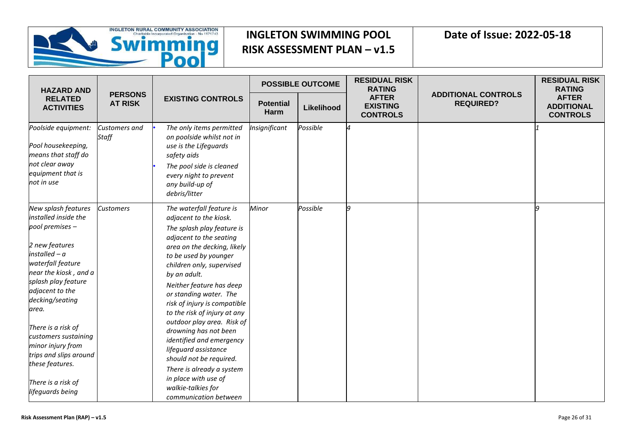

| <b>HAZARD AND</b>                                                                                                                                                                                                                                                                                                                                              | <b>PERSONS</b><br><b>AT RISK</b> | <b>EXISTING CONTROLS</b>                                                                                                                                                                                                                                                                                                                                                                                                                                                                                                          | <b>POSSIBLE OUTCOME</b>  |            | <b>RESIDUAL RISK</b><br><b>RATING</b>              |                                                | <b>RESIDUAL RISK</b><br><b>RATING</b>                |
|----------------------------------------------------------------------------------------------------------------------------------------------------------------------------------------------------------------------------------------------------------------------------------------------------------------------------------------------------------------|----------------------------------|-----------------------------------------------------------------------------------------------------------------------------------------------------------------------------------------------------------------------------------------------------------------------------------------------------------------------------------------------------------------------------------------------------------------------------------------------------------------------------------------------------------------------------------|--------------------------|------------|----------------------------------------------------|------------------------------------------------|------------------------------------------------------|
| <b>RELATED</b><br><b>ACTIVITIES</b>                                                                                                                                                                                                                                                                                                                            |                                  |                                                                                                                                                                                                                                                                                                                                                                                                                                                                                                                                   | <b>Potential</b><br>Harm | Likelihood | <b>AFTER</b><br><b>EXISTING</b><br><b>CONTROLS</b> | <b>ADDITIONAL CONTROLS</b><br><b>REQUIRED?</b> | <b>AFTER</b><br><b>ADDITIONAL</b><br><b>CONTROLS</b> |
| Poolside equipment:<br>Pool housekeeping,<br>means that staff do<br>not clear away<br>equipment that is<br>not in use                                                                                                                                                                                                                                          | <b>Customers and</b><br>Staff    | The only items permitted<br>on poolside whilst not in<br>use is the Lifeguards<br>safety aids<br>The pool side is cleaned<br>every night to prevent<br>any build-up of<br>debris/litter                                                                                                                                                                                                                                                                                                                                           | Insignificant            | Possible   | ⊿                                                  |                                                |                                                      |
| New splash features<br>installed inside the<br>pool premises -<br>2 new features<br>$instable$ d – a<br>waterfall feature<br>near the kiosk, and a<br>splash play feature<br>adjacent to the<br>decking/seating<br>area.<br>There is a risk of<br>customers sustaining<br>minor injury from<br>trips and slips around<br>these features.<br>There is a risk of | <b>Customers</b>                 | The waterfall feature is<br>adjacent to the kiosk.<br>The splash play feature is<br>adjacent to the seating<br>area on the decking, likely<br>to be used by younger<br>children only, supervised<br>by an adult.<br>Neither feature has deep<br>or standing water. The<br>risk of injury is compatible<br>to the risk of injury at any<br>outdoor play area. Risk of<br>drowning has not been<br>identified and emergency<br>lifeguard assistance<br>should not be required.<br>There is already a system<br>in place with use of | Minor                    | Possible   | q                                                  |                                                | o                                                    |
| lifeguards being                                                                                                                                                                                                                                                                                                                                               |                                  | walkie-talkies for<br>communication between                                                                                                                                                                                                                                                                                                                                                                                                                                                                                       |                          |            |                                                    |                                                |                                                      |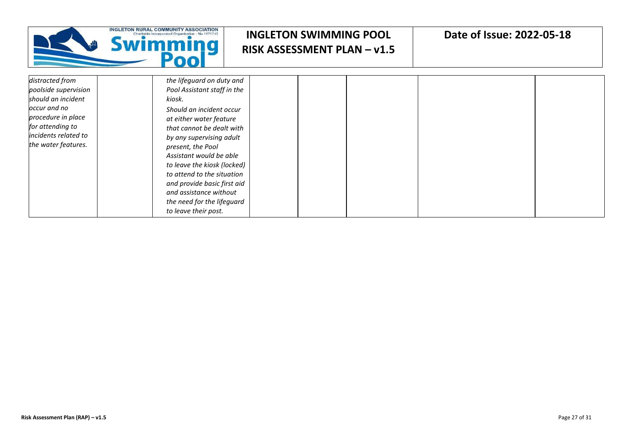|                                                                                                                                                                        | <b>COMMUNITY ASSOCIATION</b><br>iwimming                                                                                                                                                                                                                                                                                                                                                                       | <b>INGLETON SWIMMING POOL</b><br><b>RISK ASSESSMENT PLAN - v1.5</b> | Date of Issue: 2022-05-18 |  |
|------------------------------------------------------------------------------------------------------------------------------------------------------------------------|----------------------------------------------------------------------------------------------------------------------------------------------------------------------------------------------------------------------------------------------------------------------------------------------------------------------------------------------------------------------------------------------------------------|---------------------------------------------------------------------|---------------------------|--|
| distracted from<br>poolside supervision<br>should an incident<br>occur and no<br>procedure in place<br>for attending to<br>incidents related to<br>the water features. | the lifeguard on duty and<br>Pool Assistant staff in the<br>kiosk.<br>Should an incident occur<br>at either water feature<br>that cannot be dealt with<br>by any supervising adult<br>present, the Pool<br>Assistant would be able<br>to leave the kiosk (locked)<br>to attend to the situation<br>and provide basic first aid<br>and assistance without<br>the need for the lifeguard<br>to leave their post. |                                                                     |                           |  |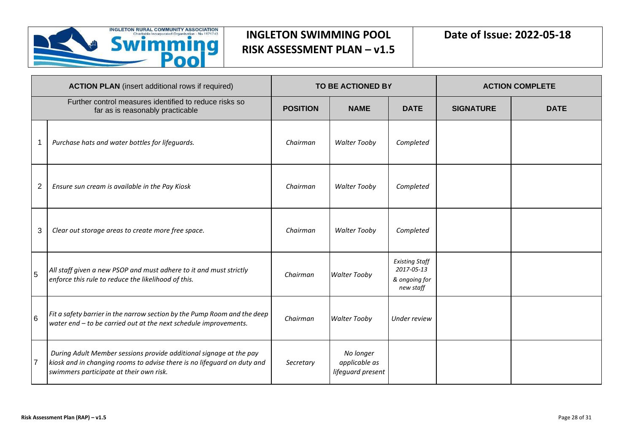

|                | <b>ACTION PLAN</b> (insert additional rows if required)                                                                                                                                  |                 | <b>TO BE ACTIONED BY</b>                        |                                                                   | <b>ACTION COMPLETE</b> |             |
|----------------|------------------------------------------------------------------------------------------------------------------------------------------------------------------------------------------|-----------------|-------------------------------------------------|-------------------------------------------------------------------|------------------------|-------------|
|                | Further control measures identified to reduce risks so<br>far as is reasonably practicable                                                                                               | <b>POSITION</b> | <b>NAME</b>                                     | <b>DATE</b>                                                       | <b>SIGNATURE</b>       | <b>DATE</b> |
|                | Purchase hats and water bottles for lifeguards.                                                                                                                                          | Chairman        | <b>Walter Tooby</b>                             | Completed                                                         |                        |             |
| $\overline{2}$ | Ensure sun cream is available in the Pay Kiosk                                                                                                                                           | Chairman        | <b>Walter Tooby</b>                             | Completed                                                         |                        |             |
| 3              | Clear out storage areas to create more free space.                                                                                                                                       | Chairman        | <b>Walter Tooby</b>                             | Completed                                                         |                        |             |
| 5              | All staff given a new PSOP and must adhere to it and must strictly<br>enforce this rule to reduce the likelihood of this.                                                                | Chairman        | <b>Walter Tooby</b>                             | <b>Existing Staff</b><br>2017-05-13<br>& ongoing for<br>new staff |                        |             |
| $6\phantom{a}$ | Fit a safety barrier in the narrow section by the Pump Room and the deep<br>water end - to be carried out at the next schedule improvements.                                             | Chairman        | <b>Walter Tooby</b>                             | Under review                                                      |                        |             |
| $\overline{7}$ | During Adult Member sessions provide additional signage at the pay<br>kiosk and in changing rooms to advise there is no lifeguard on duty and<br>swimmers participate at their own risk. | Secretary       | No longer<br>applicable as<br>lifeguard present |                                                                   |                        |             |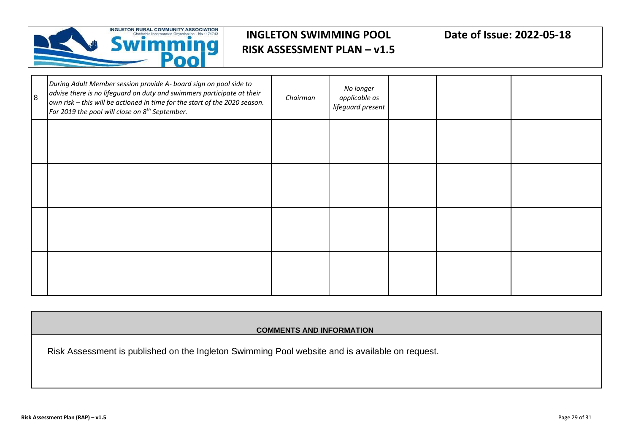

| 8 | During Adult Member session provide A- board sign on pool side to<br>advise there is no lifeguard on duty and swimmers participate at their<br>own risk - this will be actioned in time for the start of the 2020 season.<br>For 2019 the pool will close on 8 <sup>th</sup> September. | Chairman | No longer<br>applicable as<br>lifeguard present |  |  |
|---|-----------------------------------------------------------------------------------------------------------------------------------------------------------------------------------------------------------------------------------------------------------------------------------------|----------|-------------------------------------------------|--|--|
|   |                                                                                                                                                                                                                                                                                         |          |                                                 |  |  |
|   |                                                                                                                                                                                                                                                                                         |          |                                                 |  |  |
|   |                                                                                                                                                                                                                                                                                         |          |                                                 |  |  |
|   |                                                                                                                                                                                                                                                                                         |          |                                                 |  |  |

#### **COMMENTS AND INFORMATION**

Risk Assessment is published on the Ingleton Swimming Pool website and is available on request.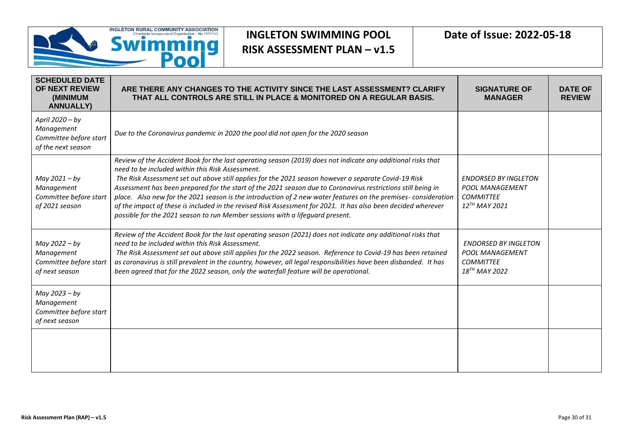

| <b>SCHEDULED DATE</b><br>OF NEXT REVIEW<br>(MINIMUM<br><b>ANNUALLY)</b>       | ARE THERE ANY CHANGES TO THE ACTIVITY SINCE THE LAST ASSESSMENT? CLARIFY<br>THAT ALL CONTROLS ARE STILL IN PLACE & MONITORED ON A REGULAR BASIS.                                                                                                                                                                                                                                                                                                                                                                                                                                                                                                                                                            | <b>SIGNATURE OF</b><br><b>MANAGER</b>                                                           | <b>DATE OF</b><br><b>REVIEW</b> |
|-------------------------------------------------------------------------------|-------------------------------------------------------------------------------------------------------------------------------------------------------------------------------------------------------------------------------------------------------------------------------------------------------------------------------------------------------------------------------------------------------------------------------------------------------------------------------------------------------------------------------------------------------------------------------------------------------------------------------------------------------------------------------------------------------------|-------------------------------------------------------------------------------------------------|---------------------------------|
| April 2020 - by<br>Management<br>Committee before start<br>of the next season | Due to the Coronavirus pandemic in 2020 the pool did not open for the 2020 season                                                                                                                                                                                                                                                                                                                                                                                                                                                                                                                                                                                                                           |                                                                                                 |                                 |
| May 2021 - by<br>Management<br>Committee before start<br>of 2021 season       | Review of the Accident Book for the last operating season (2019) does not indicate any additional risks that<br>need to be included within this Risk Assessment.<br>The Risk Assessment set out above still applies for the 2021 season however a separate Covid-19 Risk<br>Assessment has been prepared for the start of the 2021 season due to Coronavirus restrictions still being in<br>place. Also new for the 2021 season is the introduction of 2 new water features on the premises-consideration<br>of the impact of these is included in the revised Risk Assessment for 2021. It has also been decided wherever<br>possible for the 2021 season to run Member sessions with a lifeguard present. | <b>ENDORSED BY INGLETON</b><br><b>POOL MANAGEMENT</b><br><b>COMMITTEE</b><br>$12^{TH}$ MAY 2021 |                                 |
| May 2022 - by<br>Management<br>Committee before start<br>of next season       | Review of the Accident Book for the last operating season (2021) does not indicate any additional risks that<br>need to be included within this Risk Assessment.<br>The Risk Assessment set out above still applies for the 2022 season. Reference to Covid-19 has been retained<br>as coronavirus is still prevalent in the country, however, all legal responsibilities have been disbanded. It has<br>been agreed that for the 2022 season, only the waterfall feature will be operational.                                                                                                                                                                                                              | <b>ENDORSED BY INGLETON</b><br><b>POOL MANAGEMENT</b><br><b>COMMITTEE</b><br>$18^{TH}$ MAY 2022 |                                 |
| May 2023 - by<br>Management<br>Committee before start<br>of next season       |                                                                                                                                                                                                                                                                                                                                                                                                                                                                                                                                                                                                                                                                                                             |                                                                                                 |                                 |
|                                                                               |                                                                                                                                                                                                                                                                                                                                                                                                                                                                                                                                                                                                                                                                                                             |                                                                                                 |                                 |